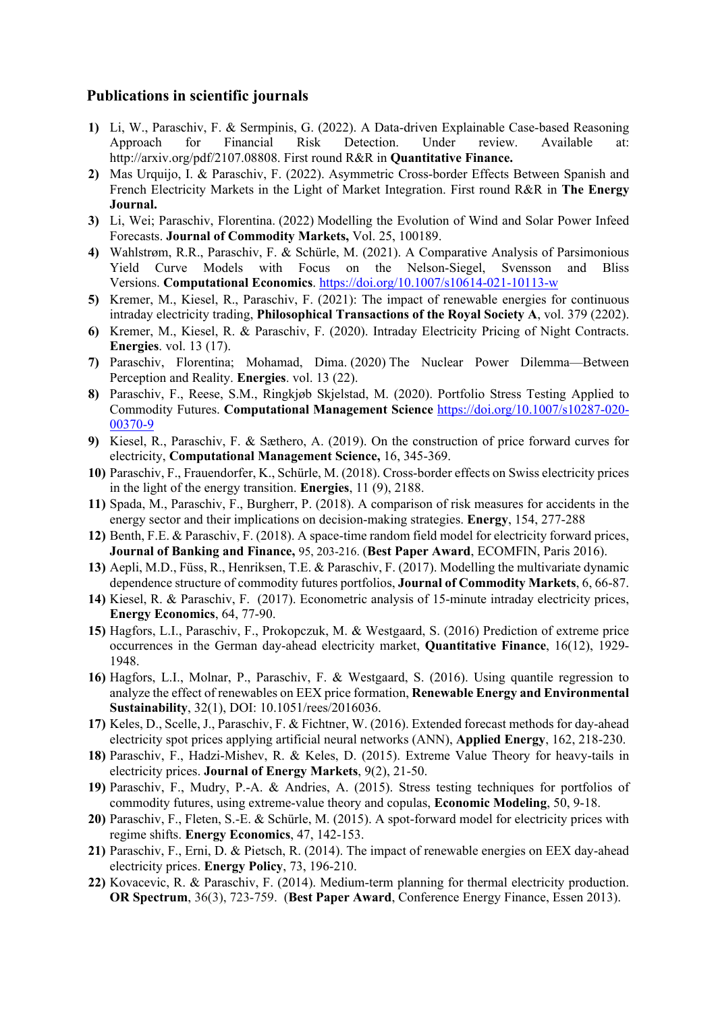#### **Publications in scientific journals**

- **1)** Li, W., Paraschiv, F. & Sermpinis, G. (2022). A Data-driven Explainable Case-based Reasoning Approach for Financial Risk Detection. Under review. Available at: [http://arxiv.org/pdf/2107.08808.](https://econpapers.repec.org/scripts/redir.pf?u=http%3A%2F%2Farxiv.org%2Fpdf%2F2107.08808;h=repec:arx:papers:2107.08808) First round R&R in **Quantitative Finance.**
- **2)** Mas Urquijo, I. & Paraschiv, F. (2022). Asymmetric Cross-border Effects Between Spanish and French Electricity Markets in the Light of Market Integration. First round R&R in **The Energy Journal.**
- **3)** Li, Wei; Paraschiv, Florentina. (2022) [Modelling the Evolution of Wind and Solar Power Infeed](http://dx.doi.org/10.1016/j.jcomm.2021.100189)  [Forecasts.](http://dx.doi.org/10.1016/j.jcomm.2021.100189) **Journal of Commodity Markets,** Vol. 25, 100189.
- **4)** Wahlstrøm, R.R., Paraschiv, F. & Schürle, M. (2021). A Comparative Analysis of Parsimonious Yield Curve Models with Focus on the Nelson-Siegel, Svensson and Bliss Versions. **Computational Economics**.<https://doi.org/10.1007/s10614-021-10113-w>
- **5)** Kremer, M., Kiesel, R., Paraschiv, F. (2021): The impact of renewable energies for continuous intraday electricity trading, **Philosophical Transactions of the Royal Society A**, vol. 379 (2202).
- **6)** Kremer, M., Kiesel, R. & Paraschiv, F. (2020). Intraday Electricity Pricing of Night Contracts. **Energies**. vol. 13 (17).
- **7)** Paraschiv, Florentina; Mohamad, Dima. (2020) [The Nuclear Power Dilemma—Between](https://hdl.handle.net/11250/2726230)  [Perception and Reality.](https://hdl.handle.net/11250/2726230) **[Energies](http://www.mdpi.com/journal/energies)**. vol. 13 (22).
- **8)** Paraschiv, F., Reese, S.M., Ringkjøb Skjelstad, M. (2020). Portfolio Stress Testing Applied to Commodity Futures. **Computational Management Science** [https://doi.org/10.1007/s10287-020-](https://doi.org/10.1007/s10287-020-00370-9) [00370-9](https://doi.org/10.1007/s10287-020-00370-9)
- **9)** Kiesel, R., Paraschiv, F. & Sæthero, A. (2019). On the construction of price forward curves for electricity, **Computational Management Science,** 16, 345-369.
- **10)** Paraschiv, F., Frauendorfer, K., Schürle, M. (2018). Cross-border effects on Swiss electricity prices in the light of the energy transition. **Energies**, 11 (9), 2188.
- **11)** Spada, M., Paraschiv, F., Burgherr, P. (2018). [A comparison of risk measures for accidents in the](http://dx.doi.org/10.1016/j.energy.2018.04.110)  [energy sector and their implications on decision-making strategies.](http://dx.doi.org/10.1016/j.energy.2018.04.110) **Energy**, 154, 277-288
- **12)** Benth, F.E. & Paraschiv, F. (2018). A space-time random field model for electricity forward prices, **Journal of Banking and Finance,** 95, 203-216. (**Best Paper Award**, ECOMFIN, Paris 2016).
- **13)** Aepli, M.D., Füss, R., Henriksen, T.E. & Paraschiv, F. (2017). Modelling the multivariate dynamic dependence structure of commodity futures portfolios, **Journal of Commodity Markets**, 6, 66-87.
- **14)** Kiesel, R. & Paraschiv, F. (2017). Econometric analysis of 15-minute intraday electricity prices, **Energy Economics**, 64, 77-90.
- **15)** Hagfors, L.I., Paraschiv, F., Prokopczuk, M. & Westgaard, S. (2016) Prediction of extreme price occurrences in the German day-ahead electricity market, **Quantitative Finance**, 16(12), 1929- 1948.
- **16)** Hagfors, L.I., Molnar, P., Paraschiv, F. & Westgaard, S. (2016). Using quantile regression to analyze the effect of renewables on EEX price formation, **Renewable Energy and Environmental Sustainability**, 32(1), DOI: 10.1051/rees/2016036.
- **17)** Keles, D., Scelle, J., Paraschiv, F. & Fichtner, W. (2016). Extended forecast methods for day-ahead electricity spot prices applying artificial neural networks (ANN), **Applied Energy**, 162, 218-230.
- **18)** Paraschiv, F., Hadzi-Mishev, R. & Keles, D. (2015). Extreme Value Theory for heavy-tails in electricity prices. **Journal of Energy Markets**, 9(2), 21-50.
- **19)** Paraschiv, F., Mudry, P.-A. & Andries, A. (2015). Stress testing techniques for portfolios of commodity futures, using extreme-value theory and copulas, **Economic Modeling**, 50, 9-18.
- **20)** Paraschiv, F., Fleten, S.-E. & Schürle, M. (2015). A spot-forward model for electricity prices with regime shifts. **Energy Economics**, 47, 142-153.
- **21)** Paraschiv, F., Erni, D. & Pietsch, R. (2014). The impact of renewable energies on EEX day-ahead electricity prices. **Energy Policy**, 73, 196-210.
- **22)** Kovacevic, R. & Paraschiv, F. (2014). Medium-term planning for thermal electricity production. **OR Spectrum**, 36(3), 723-759. (**Best Paper Award**, Conference Energy Finance, Essen 2013).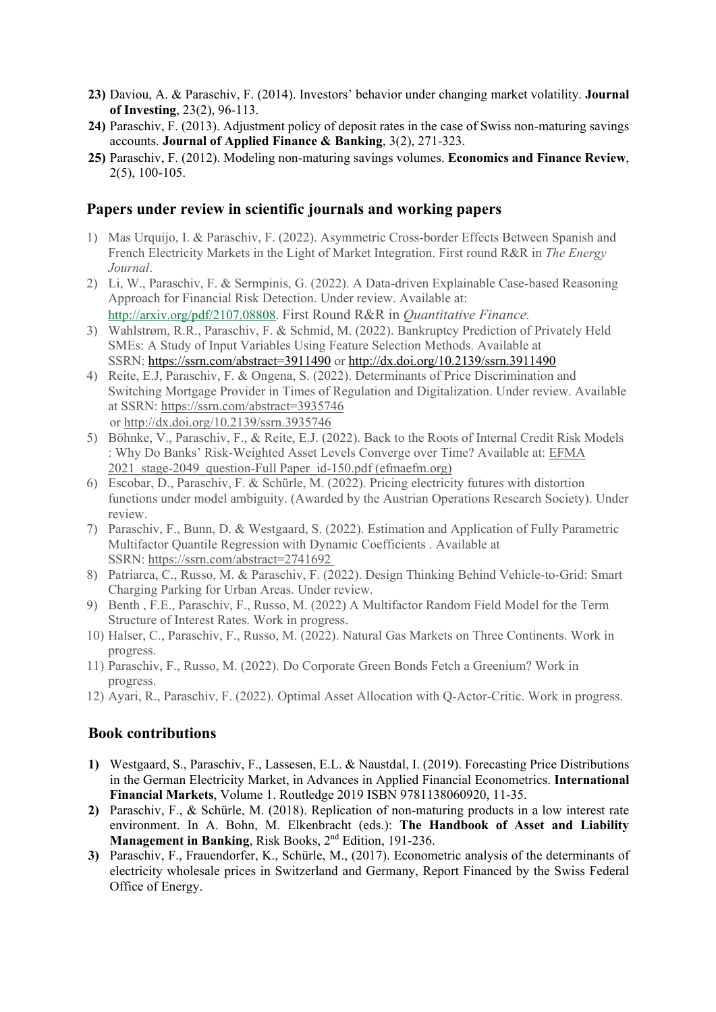- **23)** Daviou, A. & Paraschiv, F. (2014). Investors' behavior under changing market volatility. **Journal of Investing**, 23(2), 96-113.
- **24)** Paraschiv, F. (2013). Adjustment policy of deposit rates in the case of Swiss non-maturing savings accounts. **Journal of Applied Finance & Banking**, 3(2), 271-323.
- **25)** Paraschiv, F. (2012). Modeling non-maturing savings volumes. **Economics and Finance Review**, 2(5), 100-105.

#### **Papers under review in scientific journals and working papers**

- 1) Mas Urquijo, I. & Paraschiv, F. (2022). Asymmetric Cross-border Effects Between Spanish and French Electricity Markets in the Light of Market Integration. First round R&R in *The Energy Journal*.
- 2) Li, W., Paraschiv, F. & Sermpinis, G. (2022). A Data-driven Explainable Case-based Reasoning Approach for Financial Risk Detection. Under review. Available at: [http://arxiv.org/pdf/2107.08808.](https://econpapers.repec.org/scripts/redir.pf?u=http%3A%2F%2Farxiv.org%2Fpdf%2F2107.08808;h=repec:arx:papers:2107.08808) First Round R&R in *Quantitative Finance.*
- 3) Wahlstrøm, R.R., Paraschiv, F. & Schmid, M. (2022). Bankruptcy Prediction of Privately Held SMEs: A Study of Input Variables Using Feature Selection Methods. Available at SSRN: <https://ssrn.com/abstract=3911490> or [http://dx.doi.org/10.2139/ssrn.3911490](https://dx.doi.org/10.2139/ssrn.3911490)
- 4) Reite, E.J, Paraschiv, F. & Ongena, S. (2022). Determinants of Price Discrimination and Switching Mortgage Provider in Times of Regulation and Digitalization. Under review. Available at SSRN: <https://ssrn.com/abstract=3935746> or [http://dx.doi.org/10.2139/ssrn.3935746](https://dx.doi.org/10.2139/ssrn.3935746)
- 5) Böhnke, V., Paraschiv, F., & Reite, E.J. (2022). Back to the Roots of Internal Credit Risk Models : Why Do Banks' Risk-Weighted Asset Levels Converge over Time? Available at: [EFMA](https://www.efmaefm.org/0EFMAMEETINGS/EFMA%20ANNUAL%20MEETINGS/2021-Leeds/papers/EFMA%202021_stage-2049_question-Full%20Paper_id-150.pdf)  2021 stage-2049 question-Full Paper id-150.pdf (efmaefm.org)
- 6) Escobar, D., Paraschiv, F. & Schürle, M. (2022). Pricing electricity futures with distortion functions under model ambiguity. (Awarded by the Austrian Operations Research Society). Under review.
- 7) Paraschiv, F., Bunn, D. & Westgaard, S. (2022). Estimation and Application of Fully Parametric Multifactor Quantile Regression with Dynamic Coefficients . Available at SSRN: [https://ssrn.com/abstract=2741692](https://papers.ssrn.com/sol3/papers.cfm?abstract_id=2741692)
- 8) Patriarca, C., Russo, M. & Paraschiv, F. (2022). Design Thinking Behind Vehicle-to-Grid: Smart Charging Parking for Urban Areas. Under review.
- 9) Benth , F.E., Paraschiv, F., Russo, M. (2022) A Multifactor Random Field Model for the Term Structure of Interest Rates. Work in progress.
- 10) Halser, C., Paraschiv, F., Russo, M. (2022). Natural Gas Markets on Three Continents. Work in progress.
- 11) Paraschiv, F., Russo, M. (2022). Do Corporate Green Bonds Fetch a Greenium? Work in progress.
- 12) Ayari, R., Paraschiv, F. (2022). Optimal Asset Allocation with Q-Actor-Critic. Work in progress.

### **Book contributions**

- **1)** Westgaard, S., Paraschiv, F., Lassesen, E.L. & Naustdal, I. (2019). Forecasting Price Distributions in the German Electricity Market, in Advances in Applied Financial Econometrics. **International Financial Markets**, Volume 1. Routledge 2019 ISBN 9781138060920, 11-35.
- **2)** Paraschiv, F., & Schürle, M. (2018). Replication of non-maturing products in a low interest rate environment. In A. Bohn, M. Elkenbracht (eds.): **The Handbook of Asset and Liability Management in Banking**, Risk Books, 2<sup>nd</sup> Edition, 191-236.
- **3)** Paraschiv, F., Frauendorfer, K., Schürle, M., (2017). Econometric analysis of the determinants of electricity wholesale prices in Switzerland and Germany, Report Financed by the Swiss Federal Office of Energy.